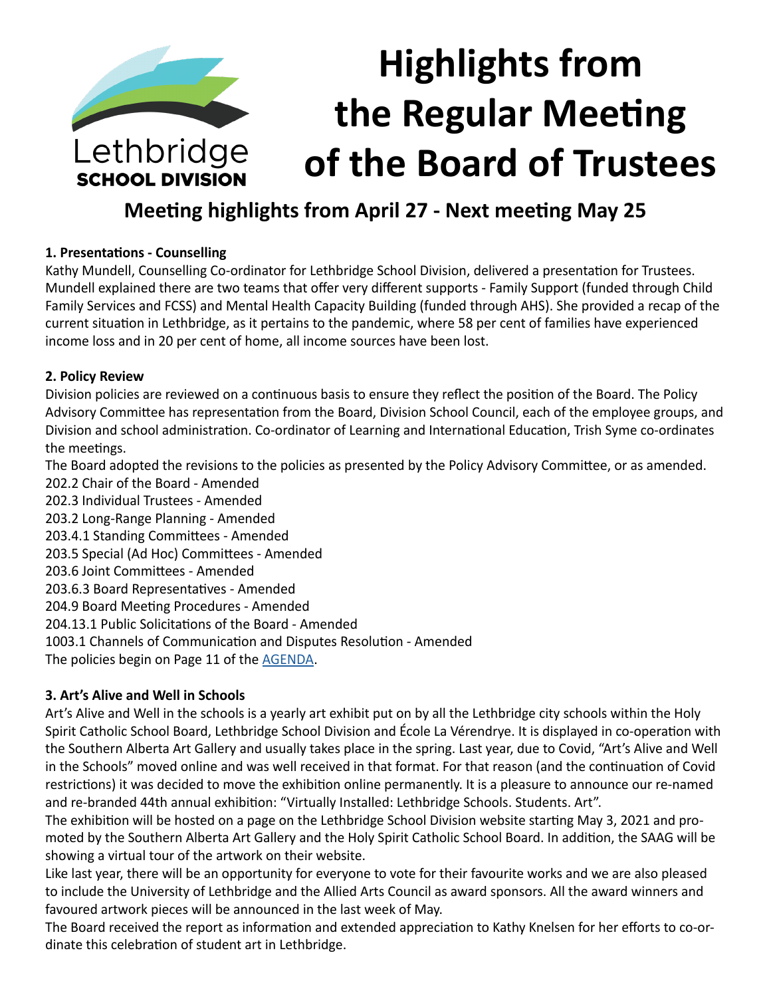

# **Meeting highlights from April 27 - Next meeting May 25**

# **1. Presentations - Counselling**

Kathy Mundell, Counselling Co-ordinator for Lethbridge School Division, delivered a presentation for Trustees. Mundell explained there are two teams that offer very different supports - Family Support (funded through Child Family Services and FCSS) and Mental Health Capacity Building (funded through AHS). She provided a recap of the current situation in Lethbridge, as it pertains to the pandemic, where 58 per cent of families have experienced income loss and in 20 per cent of home, all income sources have been lost.

# **2. Policy Review**

Division policies are reviewed on a continuous basis to ensure they reflect the position of the Board. The Policy Advisory Committee has representation from the Board, Division School Council, each of the employee groups, and Division and school administration. Co-ordinator of Learning and International Education, Trish Syme co-ordinates the meetings.

The Board adopted the revisions to the policies as presented by the Policy Advisory Committee, or as amended.

202.2 Chair of the Board - Amended 202.3 Individual Trustees - Amended 203.2 Long-Range Planning - Amended 203.4.1 Standing Committees - Amended 203.5 Special (Ad Hoc) Committees - Amended 203.6 Joint Committees - Amended 203.6.3 Board Representatives - Amended 204.9 Board Meeting Procedures - Amended 204.13.1 Public Solicitations of the Board - Amended 1003.1 Channels of Communication and Disputes Resolution - Amended The policies begin on Page 11 of the [AGENDA](https://www.lethsd.ab.ca/download/341851).

# **3. Art's Alive and Well in Schools**

Art's Alive and Well in the schools is a yearly art exhibit put on by all the Lethbridge city schools within the Holy Spirit Catholic School Board, Lethbridge School Division and École La Vérendrye. It is displayed in co-operation with the Southern Alberta Art Gallery and usually takes place in the spring. Last year, due to Covid, "Art's Alive and Well in the Schools" moved online and was well received in that format. For that reason (and the continuation of Covid restrictions) it was decided to move the exhibition online permanently. It is a pleasure to announce our re-named and re-branded 44th annual exhibition: "Virtually Installed: Lethbridge Schools. Students. Art".

The exhibition will be hosted on a page on the Lethbridge School Division website starting May 3, 2021 and promoted by the Southern Alberta Art Gallery and the Holy Spirit Catholic School Board. In addition, the SAAG will be showing a virtual tour of the artwork on their website.

Like last year, there will be an opportunity for everyone to vote for their favourite works and we are also pleased to include the University of Lethbridge and the Allied Arts Council as award sponsors. All the award winners and favoured artwork pieces will be announced in the last week of May.

The Board received the report as information and extended appreciation to Kathy Knelsen for her efforts to co-ordinate this celebration of student art in Lethbridge.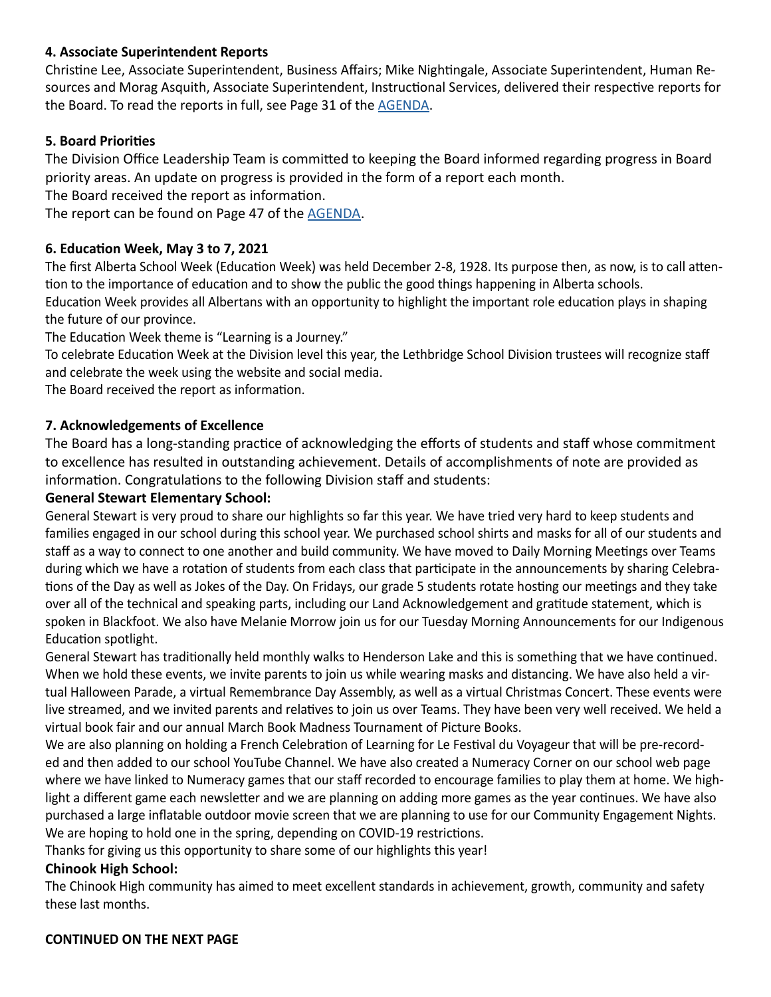# **4. Associate Superintendent Reports**

Christine Lee, Associate Superintendent, Business Affairs; Mike Nightingale, Associate Superintendent, Human Resources and Morag Asquith, Associate Superintendent, Instructional Services, delivered their respective reports for the Board. To read the reports in full, see Page 31 of the [AGENDA](https://www.lethsd.ab.ca/download/341851).

### **5. Board Priorities**

The Division Office Leadership Team is committed to keeping the Board informed regarding progress in Board priority areas. An update on progress is provided in the form of a report each month.

The Board received the report as information.

The report can be found on Page 47 of the [AGENDA.](https://www.lethsd.ab.ca/download/341851)

### **6. Education Week, May 3 to 7, 2021**

The first Alberta School Week (Education Week) was held December 2-8, 1928. Its purpose then, as now, is to call attention to the importance of education and to show the public the good things happening in Alberta schools. Education Week provides all Albertans with an opportunity to highlight the important role education plays in shaping the future of our province.

The Education Week theme is "Learning is a Journey."

To celebrate Education Week at the Division level this year, the Lethbridge School Division trustees will recognize staff and celebrate the week using the website and social media.

The Board received the report as information.

# **7. Acknowledgements of Excellence**

The Board has a long-standing practice of acknowledging the efforts of students and staff whose commitment to excellence has resulted in outstanding achievement. Details of accomplishments of note are provided as information. Congratulations to the following Division staff and students:

#### **General Stewart Elementary School:**

General Stewart is very proud to share our highlights so far this year. We have tried very hard to keep students and families engaged in our school during this school year. We purchased school shirts and masks for all of our students and staff as a way to connect to one another and build community. We have moved to Daily Morning Meetings over Teams during which we have a rotation of students from each class that participate in the announcements by sharing Celebrations of the Day as well as Jokes of the Day. On Fridays, our grade 5 students rotate hosting our meetings and they take over all of the technical and speaking parts, including our Land Acknowledgement and gratitude statement, which is spoken in Blackfoot. We also have Melanie Morrow join us for our Tuesday Morning Announcements for our Indigenous Education spotlight.

General Stewart has traditionally held monthly walks to Henderson Lake and this is something that we have continued. When we hold these events, we invite parents to join us while wearing masks and distancing. We have also held a virtual Halloween Parade, a virtual Remembrance Day Assembly, as well as a virtual Christmas Concert. These events were live streamed, and we invited parents and relatives to join us over Teams. They have been very well received. We held a virtual book fair and our annual March Book Madness Tournament of Picture Books.

We are also planning on holding a French Celebration of Learning for Le Festival du Voyageur that will be pre-recorded and then added to our school YouTube Channel. We have also created a Numeracy Corner on our school web page where we have linked to Numeracy games that our staff recorded to encourage families to play them at home. We highlight a different game each newsletter and we are planning on adding more games as the year continues. We have also purchased a large inflatable outdoor movie screen that we are planning to use for our Community Engagement Nights. We are hoping to hold one in the spring, depending on COVID-19 restrictions.

Thanks for giving us this opportunity to share some of our highlights this year!

#### **Chinook High School:**

The Chinook High community has aimed to meet excellent standards in achievement, growth, community and safety these last months.

#### **CONTINUED ON THE NEXT PAGE**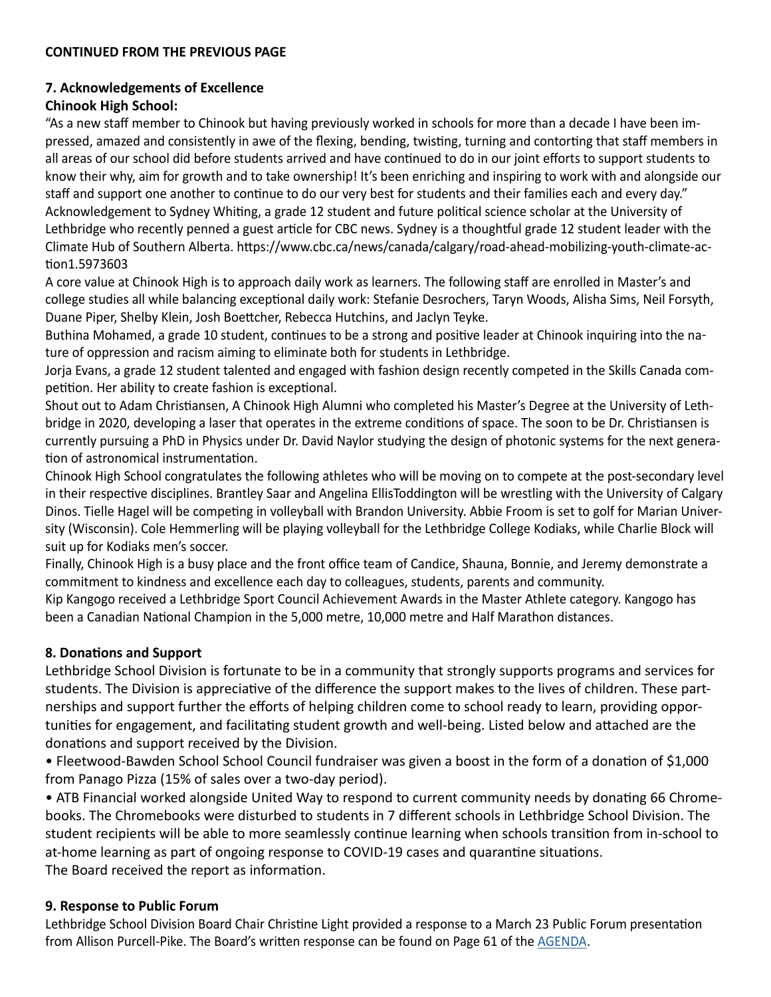#### **CONTINUED FROM THE PREVIOUS PAGE**

### **7. Acknowledgements of Excellence**

## **Chinook High School:**

"As a new staff member to Chinook but having previously worked in schools for more than a decade I have been impressed, amazed and consistently in awe of the flexing, bending, twisting, turning and contorting that staff members in all areas of our school did before students arrived and have continued to do in our joint efforts to support students to know their why, aim for growth and to take ownership! It's been enriching and inspiring to work with and alongside our staff and support one another to continue to do our very best for students and their families each and every day." Acknowledgement to Sydney Whiting, a grade 12 student and future political science scholar at the University of Lethbridge who recently penned a guest article for CBC news. Sydney is a thoughtful grade 12 student leader with the Climate Hub of Southern Alberta. https://www.cbc.ca/news/canada/calgary/road-ahead-mobilizing-youth-climate-action1.5973603

A core value at Chinook High is to approach daily work as learners. The following staff are enrolled in Master's and college studies all while balancing exceptional daily work: Stefanie Desrochers, Taryn Woods, Alisha Sims, Neil Forsyth, Duane Piper, Shelby Klein, Josh Boettcher, Rebecca Hutchins, and Jaclyn Teyke.

Buthina Mohamed, a grade 10 student, continues to be a strong and positive leader at Chinook inquiring into the nature of oppression and racism aiming to eliminate both for students in Lethbridge.

Jorja Evans, a grade 12 student talented and engaged with fashion design recently competed in the Skills Canada competition. Her ability to create fashion is exceptional.

Shout out to Adam Christiansen, A Chinook High Alumni who completed his Master's Degree at the University of Lethbridge in 2020, developing a laser that operates in the extreme conditions of space. The soon to be Dr. Christiansen is currently pursuing a PhD in Physics under Dr. David Naylor studying the design of photonic systems for the next generation of astronomical instrumentation.

Chinook High School congratulates the following athletes who will be moving on to compete at the post-secondary level in their respective disciplines. Brantley Saar and Angelina EllisToddington will be wrestling with the University of Calgary Dinos. Tielle Hagel will be competing in volleyball with Brandon University. Abbie Froom is set to golf for Marian University (Wisconsin). Cole Hemmerling will be playing volleyball for the Lethbridge College Kodiaks, while Charlie Block will suit up for Kodiaks men's soccer.

Finally, Chinook High is a busy place and the front office team of Candice, Shauna, Bonnie, and Jeremy demonstrate a commitment to kindness and excellence each day to colleagues, students, parents and community.

Kip Kangogo received a Lethbridge Sport Council Achievement Awards in the Master Athlete category. Kangogo has been a Canadian National Champion in the 5,000 metre, 10,000 metre and Half Marathon distances.

#### **8. Donations and Support**

Lethbridge School Division is fortunate to be in a community that strongly supports programs and services for students. The Division is appreciative of the difference the support makes to the lives of children. These partnerships and support further the efforts of helping children come to school ready to learn, providing opportunities for engagement, and facilitating student growth and well-being. Listed below and attached are the donations and support received by the Division.

• Fleetwood-Bawden School School Council fundraiser was given a boost in the form of a donation of \$1,000 from Panago Pizza (15% of sales over a two-day period).

• ATB Financial worked alongside United Way to respond to current community needs by donating 66 Chromebooks. The Chromebooks were disturbed to students in 7 different schools in Lethbridge School Division. The student recipients will be able to more seamlessly continue learning when schools transition from in-school to at-home learning as part of ongoing response to COVID-19 cases and quarantine situations. The Board received the report as information.

#### **9. Response to Public Forum**

Lethbridge School Division Board Chair Christine Light provided a response to a March 23 Public Forum presentation from Allison Purcell-Pike. The Board's written response can be found on Page 61 of the [AGENDA](https://www.lethsd.ab.ca/download/341851).